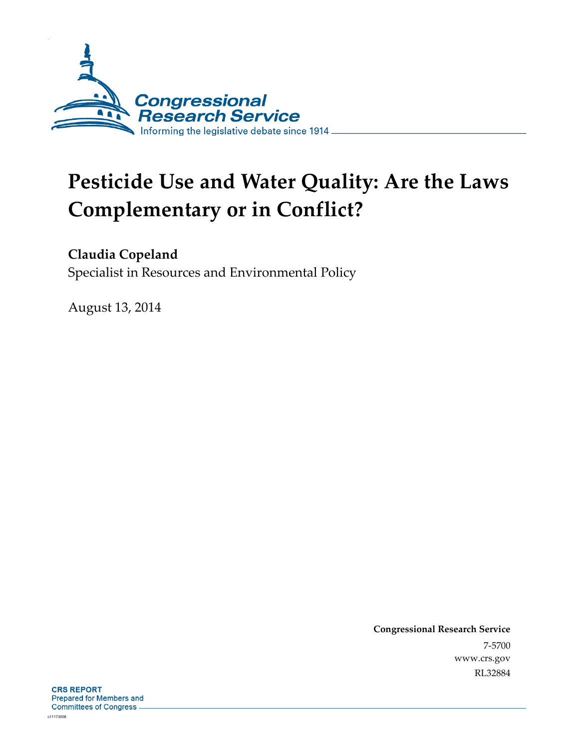

# **Pesticide Use and Water Quality: Are the Laws Complementary or in Conflict?**

### **Claudia Copeland**

Specialist in Resources and Environmental Policy

August 13, 2014

**Congressional Research Service**  7-5700 www.crs.gov RL32884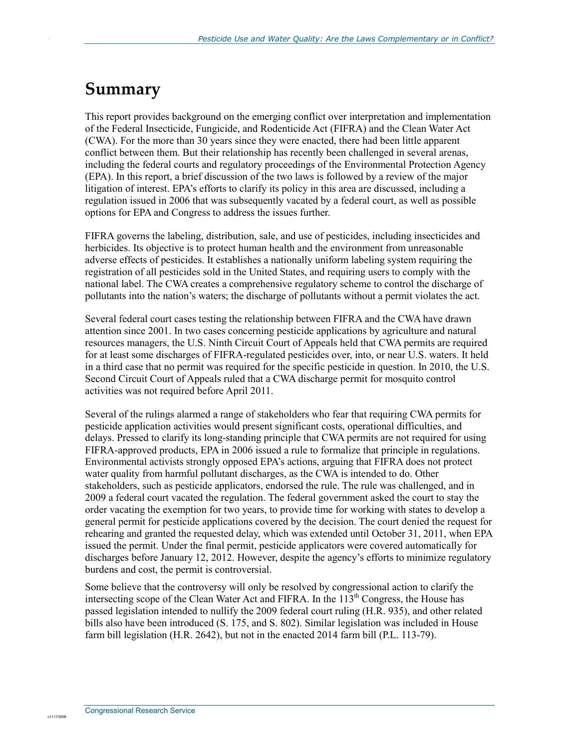## **Summary**

This report provides background on the emerging conflict over interpretation and implementation of the Federal Insecticide, Fungicide, and Rodenticide Act (FIFRA) and the Clean Water Act (CWA). For the more than 30 years since they were enacted, there had been little apparent conflict between them. But their relationship has recently been challenged in several arenas, including the federal courts and regulatory proceedings of the Environmental Protection Agency (EPA). In this report, a brief discussion of the two laws is followed by a review of the major litigation of interest. EPA's efforts to clarify its policy in this area are discussed, including a regulation issued in 2006 that was subsequently vacated by a federal court, as well as possible options for EPA and Congress to address the issues further.

FIFRA governs the labeling, distribution, sale, and use of pesticides, including insecticides and herbicides. Its objective is to protect human health and the environment from unreasonable adverse effects of pesticides. It establishes a nationally uniform labeling system requiring the registration of all pesticides sold in the United States, and requiring users to comply with the national label. The CWA creates a comprehensive regulatory scheme to control the discharge of pollutants into the nation's waters; the discharge of pollutants without a permit violates the act.

Several federal court cases testing the relationship between FIFRA and the CWA have drawn attention since 2001. In two cases concerning pesticide applications by agriculture and natural resources managers, the U.S. Ninth Circuit Court of Appeals held that CWA permits are required for at least some discharges of FIFRA-regulated pesticides over, into, or near U.S. waters. It held in a third case that no permit was required for the specific pesticide in question. In 2010, the U.S. Second Circuit Court of Appeals ruled that a CWA discharge permit for mosquito control activities was not required before April 2011.

Several of the rulings alarmed a range of stakeholders who fear that requiring CWA permits for pesticide application activities would present significant costs, operational difficulties, and delays. Pressed to clarify its long-standing principle that CWA permits are not required for using FIFRA-approved products, EPA in 2006 issued a rule to formalize that principle in regulations. Environmental activists strongly opposed EPA's actions, arguing that FIFRA does not protect water quality from harmful pollutant discharges, as the CWA is intended to do. Other stakeholders, such as pesticide applicators, endorsed the rule. The rule was challenged, and in 2009 a federal court vacated the regulation. The federal government asked the court to stay the order vacating the exemption for two years, to provide time for working with states to develop a general permit for pesticide applications covered by the decision. The court denied the request for rehearing and granted the requested delay, which was extended until October 31, 2011, when EPA issued the permit. Under the final permit, pesticide applicators were covered automatically for discharges before January 12, 2012. However, despite the agency's efforts to minimize regulatory burdens and cost, the permit is controversial.

Some believe that the controversy will only be resolved by congressional action to clarify the intersecting scope of the Clean Water Act and FIFRA. In the  $113<sup>th</sup>$  Congress, the House has passed legislation intended to nullify the 2009 federal court ruling (H.R. 935), and other related bills also have been introduced (S. 175, and S. 802). Similar legislation was included in House farm bill legislation (H.R. 2642), but not in the enacted 2014 farm bill (P.L. 113-79).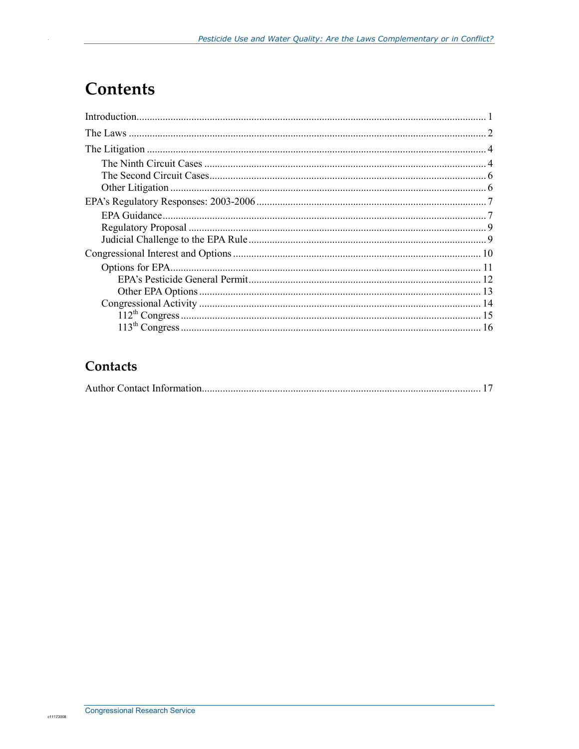## **Contents**

#### Contacts

|--|--|--|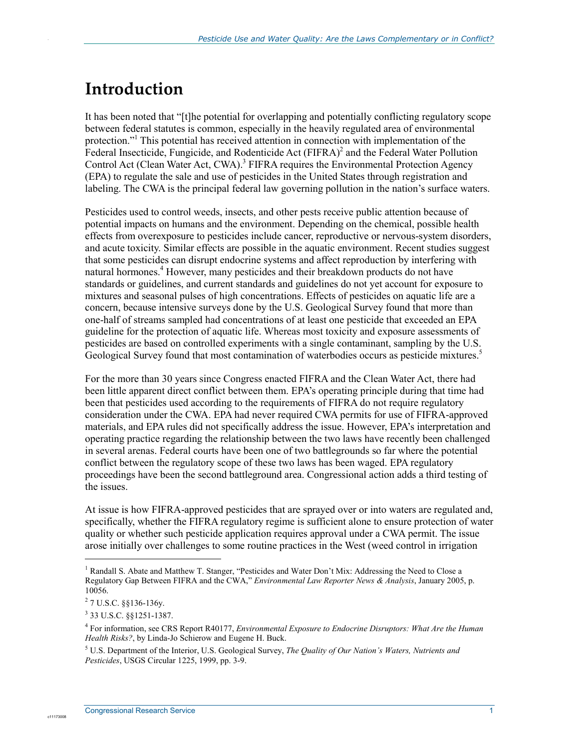## **Introduction**

It has been noted that "[t]he potential for overlapping and potentially conflicting regulatory scope between federal statutes is common, especially in the heavily regulated area of environmental protection."<sup>1</sup> This potential has received attention in connection with implementation of the Federal Insecticide, Fungicide, and Rodenticide Act (FIFRA)<sup>2</sup> and the Federal Water Pollution Control Act (Clean Water Act, CWA).<sup>3</sup> FIFRA requires the Environmental Protection Agency (EPA) to regulate the sale and use of pesticides in the United States through registration and labeling. The CWA is the principal federal law governing pollution in the nation's surface waters.

Pesticides used to control weeds, insects, and other pests receive public attention because of potential impacts on humans and the environment. Depending on the chemical, possible health effects from overexposure to pesticides include cancer, reproductive or nervous-system disorders, and acute toxicity. Similar effects are possible in the aquatic environment. Recent studies suggest that some pesticides can disrupt endocrine systems and affect reproduction by interfering with natural hormones.<sup>4</sup> However, many pesticides and their breakdown products do not have standards or guidelines, and current standards and guidelines do not yet account for exposure to mixtures and seasonal pulses of high concentrations. Effects of pesticides on aquatic life are a concern, because intensive surveys done by the U.S. Geological Survey found that more than one-half of streams sampled had concentrations of at least one pesticide that exceeded an EPA guideline for the protection of aquatic life. Whereas most toxicity and exposure assessments of pesticides are based on controlled experiments with a single contaminant, sampling by the U.S. Geological Survey found that most contamination of waterbodies occurs as pesticide mixtures.<sup>5</sup>

For the more than 30 years since Congress enacted FIFRA and the Clean Water Act, there had been little apparent direct conflict between them. EPA's operating principle during that time had been that pesticides used according to the requirements of FIFRA do not require regulatory consideration under the CWA. EPA had never required CWA permits for use of FIFRA-approved materials, and EPA rules did not specifically address the issue. However, EPA's interpretation and operating practice regarding the relationship between the two laws have recently been challenged in several arenas. Federal courts have been one of two battlegrounds so far where the potential conflict between the regulatory scope of these two laws has been waged. EPA regulatory proceedings have been the second battleground area. Congressional action adds a third testing of the issues.

At issue is how FIFRA-approved pesticides that are sprayed over or into waters are regulated and, specifically, whether the FIFRA regulatory regime is sufficient alone to ensure protection of water quality or whether such pesticide application requires approval under a CWA permit. The issue arose initially over challenges to some routine practices in the West (weed control in irrigation

 $\overline{a}$ 

<sup>&</sup>lt;sup>1</sup> Randall S. Abate and Matthew T. Stanger, "Pesticides and Water Don't Mix: Addressing the Need to Close a Regulatory Gap Between FIFRA and the CWA," *Environmental Law Reporter News & Analysis*, January 2005, p. 10056.

 $27$  U.S.C. §§136-136y.

<sup>3</sup> 33 U.S.C. §§1251-1387.

<sup>4</sup> For information, see CRS Report R40177, *Environmental Exposure to Endocrine Disruptors: What Are the Human Health Risks?*, by Linda-Jo Schierow and Eugene H. Buck.

<sup>5</sup> U.S. Department of the Interior, U.S. Geological Survey, *The Quality of Our Nation's Waters, Nutrients and Pesticides*, USGS Circular 1225, 1999, pp. 3-9.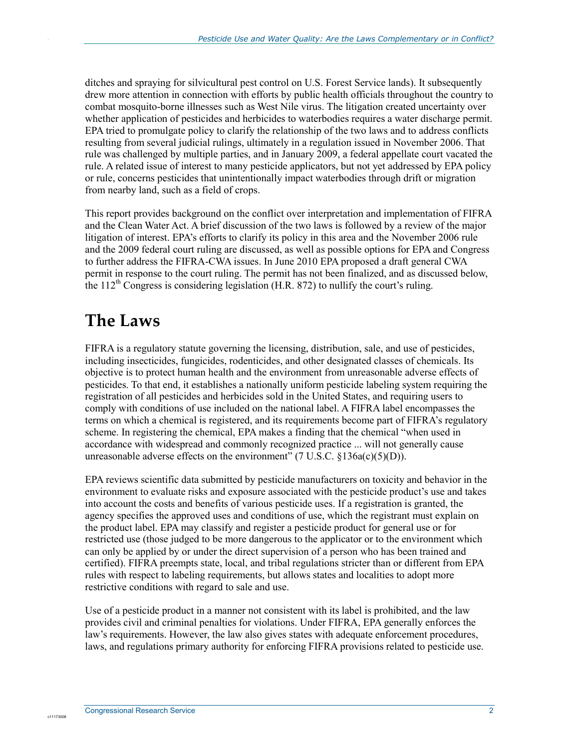ditches and spraying for silvicultural pest control on U.S. Forest Service lands). It subsequently drew more attention in connection with efforts by public health officials throughout the country to combat mosquito-borne illnesses such as West Nile virus. The litigation created uncertainty over whether application of pesticides and herbicides to waterbodies requires a water discharge permit. EPA tried to promulgate policy to clarify the relationship of the two laws and to address conflicts resulting from several judicial rulings, ultimately in a regulation issued in November 2006. That rule was challenged by multiple parties, and in January 2009, a federal appellate court vacated the rule. A related issue of interest to many pesticide applicators, but not yet addressed by EPA policy or rule, concerns pesticides that unintentionally impact waterbodies through drift or migration from nearby land, such as a field of crops.

This report provides background on the conflict over interpretation and implementation of FIFRA and the Clean Water Act. A brief discussion of the two laws is followed by a review of the major litigation of interest. EPA's efforts to clarify its policy in this area and the November 2006 rule and the 2009 federal court ruling are discussed, as well as possible options for EPA and Congress to further address the FIFRA-CWA issues. In June 2010 EPA proposed a draft general CWA permit in response to the court ruling. The permit has not been finalized, and as discussed below, the  $112^{th}$  Congress is considering legislation (H.R. 872) to nullify the court's ruling.

## **The Laws**

FIFRA is a regulatory statute governing the licensing, distribution, sale, and use of pesticides, including insecticides, fungicides, rodenticides, and other designated classes of chemicals. Its objective is to protect human health and the environment from unreasonable adverse effects of pesticides. To that end, it establishes a nationally uniform pesticide labeling system requiring the registration of all pesticides and herbicides sold in the United States, and requiring users to comply with conditions of use included on the national label. A FIFRA label encompasses the terms on which a chemical is registered, and its requirements become part of FIFRA's regulatory scheme. In registering the chemical, EPA makes a finding that the chemical "when used in accordance with widespread and commonly recognized practice ... will not generally cause unreasonable adverse effects on the environment"  $(7 \text{ U.S.C. } §136a(c)(5)(D))$ .

EPA reviews scientific data submitted by pesticide manufacturers on toxicity and behavior in the environment to evaluate risks and exposure associated with the pesticide product's use and takes into account the costs and benefits of various pesticide uses. If a registration is granted, the agency specifies the approved uses and conditions of use, which the registrant must explain on the product label. EPA may classify and register a pesticide product for general use or for restricted use (those judged to be more dangerous to the applicator or to the environment which can only be applied by or under the direct supervision of a person who has been trained and certified). FIFRA preempts state, local, and tribal regulations stricter than or different from EPA rules with respect to labeling requirements, but allows states and localities to adopt more restrictive conditions with regard to sale and use.

Use of a pesticide product in a manner not consistent with its label is prohibited, and the law provides civil and criminal penalties for violations. Under FIFRA, EPA generally enforces the law's requirements. However, the law also gives states with adequate enforcement procedures, laws, and regulations primary authority for enforcing FIFRA provisions related to pesticide use.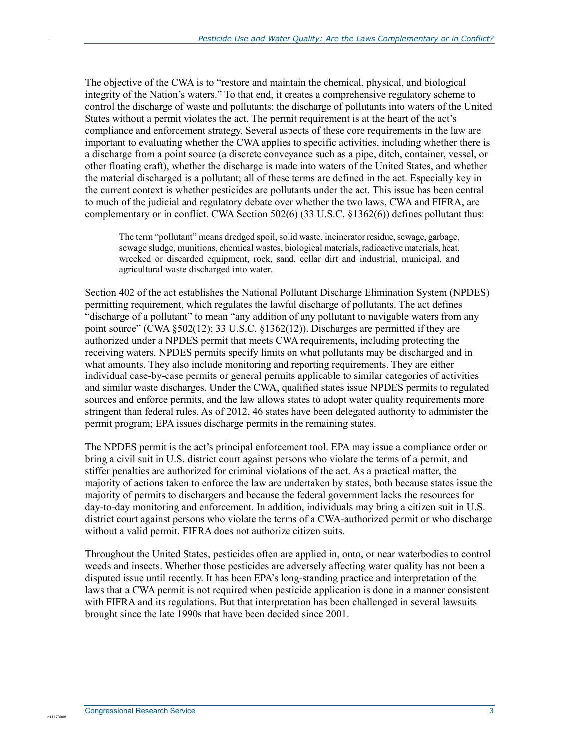The objective of the CWA is to "restore and maintain the chemical, physical, and biological integrity of the Nation's waters." To that end, it creates a comprehensive regulatory scheme to control the discharge of waste and pollutants; the discharge of pollutants into waters of the United States without a permit violates the act. The permit requirement is at the heart of the act's compliance and enforcement strategy. Several aspects of these core requirements in the law are important to evaluating whether the CWA applies to specific activities, including whether there is a discharge from a point source (a discrete conveyance such as a pipe, ditch, container, vessel, or other floating craft), whether the discharge is made into waters of the United States, and whether the material discharged is a pollutant; all of these terms are defined in the act. Especially key in the current context is whether pesticides are pollutants under the act. This issue has been central to much of the judicial and regulatory debate over whether the two laws, CWA and FIFRA, are complementary or in conflict. CWA Section 502(6) (33 U.S.C. §1362(6)) defines pollutant thus:

The term "pollutant" means dredged spoil, solid waste, incinerator residue, sewage, garbage, sewage sludge, munitions, chemical wastes, biological materials, radioactive materials, heat, wrecked or discarded equipment, rock, sand, cellar dirt and industrial, municipal, and agricultural waste discharged into water.

Section 402 of the act establishes the National Pollutant Discharge Elimination System (NPDES) permitting requirement, which regulates the lawful discharge of pollutants. The act defines "discharge of a pollutant" to mean "any addition of any pollutant to navigable waters from any point source" (CWA §502(12); 33 U.S.C. §1362(12)). Discharges are permitted if they are authorized under a NPDES permit that meets CWA requirements, including protecting the receiving waters. NPDES permits specify limits on what pollutants may be discharged and in what amounts. They also include monitoring and reporting requirements. They are either individual case-by-case permits or general permits applicable to similar categories of activities and similar waste discharges. Under the CWA, qualified states issue NPDES permits to regulated sources and enforce permits, and the law allows states to adopt water quality requirements more stringent than federal rules. As of 2012, 46 states have been delegated authority to administer the permit program; EPA issues discharge permits in the remaining states.

The NPDES permit is the act's principal enforcement tool. EPA may issue a compliance order or bring a civil suit in U.S. district court against persons who violate the terms of a permit, and stiffer penalties are authorized for criminal violations of the act. As a practical matter, the majority of actions taken to enforce the law are undertaken by states, both because states issue the majority of permits to dischargers and because the federal government lacks the resources for day-to-day monitoring and enforcement. In addition, individuals may bring a citizen suit in U.S. district court against persons who violate the terms of a CWA-authorized permit or who discharge without a valid permit. FIFRA does not authorize citizen suits.

Throughout the United States, pesticides often are applied in, onto, or near waterbodies to control weeds and insects. Whether those pesticides are adversely affecting water quality has not been a disputed issue until recently. It has been EPA's long-standing practice and interpretation of the laws that a CWA permit is not required when pesticide application is done in a manner consistent with FIFRA and its regulations. But that interpretation has been challenged in several lawsuits brought since the late 1990s that have been decided since 2001.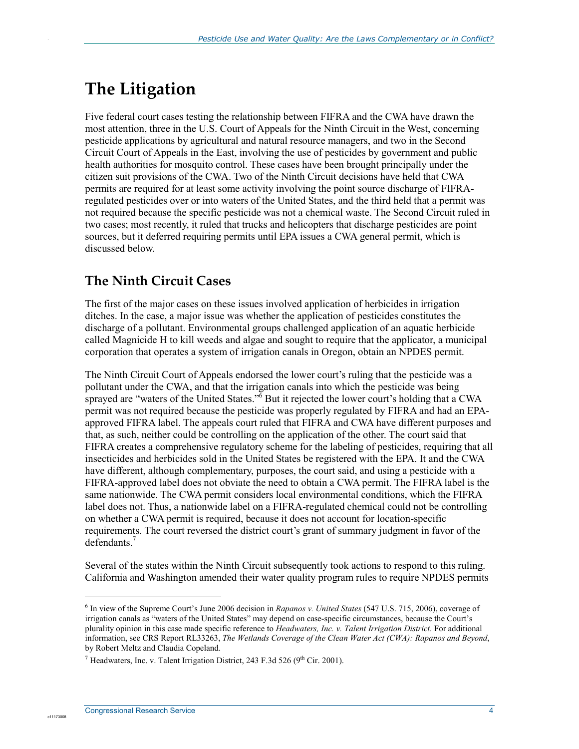## **The Litigation**

Five federal court cases testing the relationship between FIFRA and the CWA have drawn the most attention, three in the U.S. Court of Appeals for the Ninth Circuit in the West, concerning pesticide applications by agricultural and natural resource managers, and two in the Second Circuit Court of Appeals in the East, involving the use of pesticides by government and public health authorities for mosquito control. These cases have been brought principally under the citizen suit provisions of the CWA. Two of the Ninth Circuit decisions have held that CWA permits are required for at least some activity involving the point source discharge of FIFRAregulated pesticides over or into waters of the United States, and the third held that a permit was not required because the specific pesticide was not a chemical waste. The Second Circuit ruled in two cases; most recently, it ruled that trucks and helicopters that discharge pesticides are point sources, but it deferred requiring permits until EPA issues a CWA general permit, which is discussed below.

### **The Ninth Circuit Cases**

The first of the major cases on these issues involved application of herbicides in irrigation ditches. In the case, a major issue was whether the application of pesticides constitutes the discharge of a pollutant. Environmental groups challenged application of an aquatic herbicide called Magnicide H to kill weeds and algae and sought to require that the applicator, a municipal corporation that operates a system of irrigation canals in Oregon, obtain an NPDES permit.

The Ninth Circuit Court of Appeals endorsed the lower court's ruling that the pesticide was a pollutant under the CWA, and that the irrigation canals into which the pesticide was being sprayed are "waters of the United States." $\delta$  But it rejected the lower court's holding that a CWA permit was not required because the pesticide was properly regulated by FIFRA and had an EPAapproved FIFRA label. The appeals court ruled that FIFRA and CWA have different purposes and that, as such, neither could be controlling on the application of the other. The court said that FIFRA creates a comprehensive regulatory scheme for the labeling of pesticides, requiring that all insecticides and herbicides sold in the United States be registered with the EPA. It and the CWA have different, although complementary, purposes, the court said, and using a pesticide with a FIFRA-approved label does not obviate the need to obtain a CWA permit. The FIFRA label is the same nationwide. The CWA permit considers local environmental conditions, which the FIFRA label does not. Thus, a nationwide label on a FIFRA-regulated chemical could not be controlling on whether a CWA permit is required, because it does not account for location-specific requirements. The court reversed the district court's grant of summary judgment in favor of the defendants.<sup>7</sup>

Several of the states within the Ninth Circuit subsequently took actions to respond to this ruling. California and Washington amended their water quality program rules to require NPDES permits

 $\overline{a}$ 

<sup>6</sup> In view of the Supreme Court's June 2006 decision in *Rapanos v. United States* (547 U.S. 715, 2006), coverage of irrigation canals as "waters of the United States" may depend on case-specific circumstances, because the Court's plurality opinion in this case made specific reference to *Headwaters, Inc. v. Talent Irrigation District*. For additional information, see CRS Report RL33263, *The Wetlands Coverage of the Clean Water Act (CWA): Rapanos and Beyond*, by Robert Meltz and Claudia Copeland.

<sup>&</sup>lt;sup>7</sup> Headwaters, Inc. v. Talent Irrigation District, 243 F.3d 526 (9<sup>th</sup> Cir. 2001).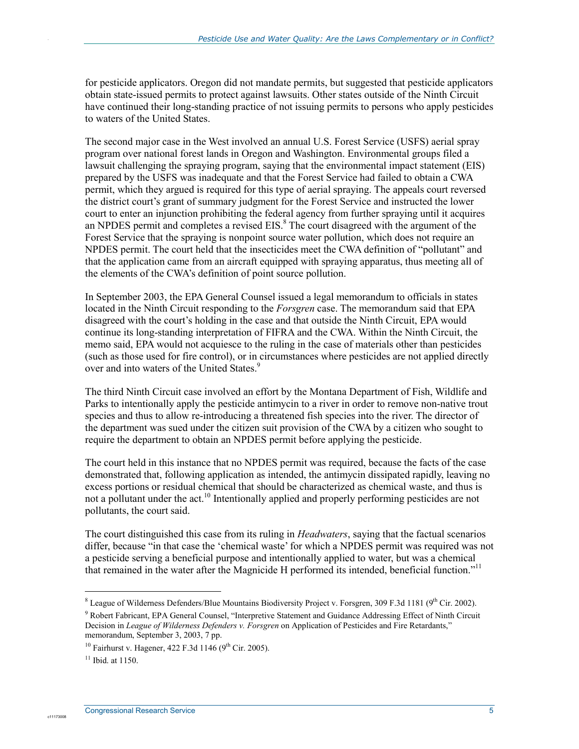for pesticide applicators. Oregon did not mandate permits, but suggested that pesticide applicators obtain state-issued permits to protect against lawsuits. Other states outside of the Ninth Circuit have continued their long-standing practice of not issuing permits to persons who apply pesticides to waters of the United States.

The second major case in the West involved an annual U.S. Forest Service (USFS) aerial spray program over national forest lands in Oregon and Washington. Environmental groups filed a lawsuit challenging the spraying program, saying that the environmental impact statement (EIS) prepared by the USFS was inadequate and that the Forest Service had failed to obtain a CWA permit, which they argued is required for this type of aerial spraying. The appeals court reversed the district court's grant of summary judgment for the Forest Service and instructed the lower court to enter an injunction prohibiting the federal agency from further spraying until it acquires an NPDES permit and completes a revised EIS.<sup>8</sup> The court disagreed with the argument of the Forest Service that the spraying is nonpoint source water pollution, which does not require an NPDES permit. The court held that the insecticides meet the CWA definition of "pollutant" and that the application came from an aircraft equipped with spraying apparatus, thus meeting all of the elements of the CWA's definition of point source pollution.

In September 2003, the EPA General Counsel issued a legal memorandum to officials in states located in the Ninth Circuit responding to the *Forsgren* case. The memorandum said that EPA disagreed with the court's holding in the case and that outside the Ninth Circuit, EPA would continue its long-standing interpretation of FIFRA and the CWA. Within the Ninth Circuit, the memo said, EPA would not acquiesce to the ruling in the case of materials other than pesticides (such as those used for fire control), or in circumstances where pesticides are not applied directly over and into waters of the United States.<sup>9</sup>

The third Ninth Circuit case involved an effort by the Montana Department of Fish, Wildlife and Parks to intentionally apply the pesticide antimycin to a river in order to remove non-native trout species and thus to allow re-introducing a threatened fish species into the river. The director of the department was sued under the citizen suit provision of the CWA by a citizen who sought to require the department to obtain an NPDES permit before applying the pesticide.

The court held in this instance that no NPDES permit was required, because the facts of the case demonstrated that, following application as intended, the antimycin dissipated rapidly, leaving no excess portions or residual chemical that should be characterized as chemical waste, and thus is not a pollutant under the act.<sup>10</sup> Intentionally applied and properly performing pesticides are not pollutants, the court said.

The court distinguished this case from its ruling in *Headwaters*, saying that the factual scenarios differ, because "in that case the 'chemical waste' for which a NPDES permit was required was not a pesticide serving a beneficial purpose and intentionally applied to water, but was a chemical that remained in the water after the Magnicide H performed its intended, beneficial function."<sup>11</sup>

 $\overline{a}$ 

<sup>&</sup>lt;sup>8</sup> League of Wilderness Defenders/Blue Mountains Biodiversity Project v. Forsgren, 309 F.3d 1181 ( $9<sup>th</sup>$  Cir. 2002).

<sup>&</sup>lt;sup>9</sup> Robert Fabricant, EPA General Counsel, "Interpretive Statement and Guidance Addressing Effect of Ninth Circuit Decision in *League of Wilderness Defenders v. Forsgren* on Application of Pesticides and Fire Retardants," memorandum, September 3, 2003, 7 pp.

<sup>&</sup>lt;sup>10</sup> Fairhurst v. Hagener, 422 F.3d 1146  $(9^{th}$  Cir. 2005).

 $11$  Ibid. at 1150.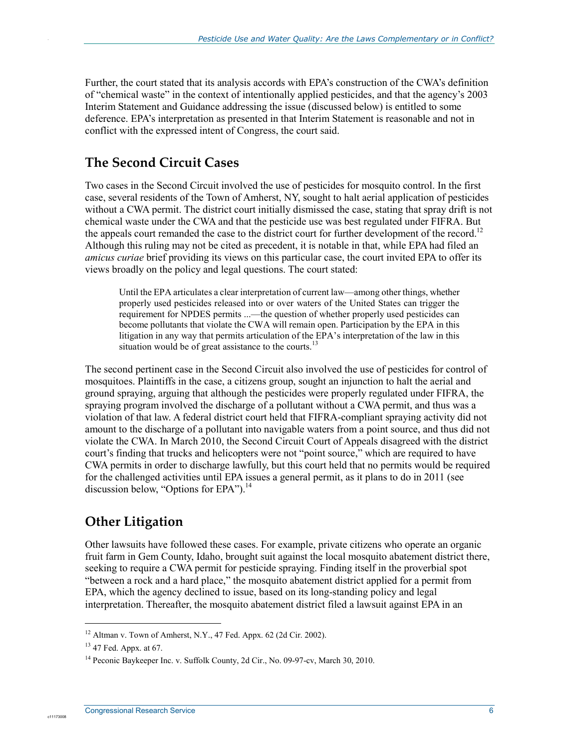Further, the court stated that its analysis accords with EPA's construction of the CWA's definition of "chemical waste" in the context of intentionally applied pesticides, and that the agency's 2003 Interim Statement and Guidance addressing the issue (discussed below) is entitled to some deference. EPA's interpretation as presented in that Interim Statement is reasonable and not in conflict with the expressed intent of Congress, the court said.

#### **The Second Circuit Cases**

Two cases in the Second Circuit involved the use of pesticides for mosquito control. In the first case, several residents of the Town of Amherst, NY, sought to halt aerial application of pesticides without a CWA permit. The district court initially dismissed the case, stating that spray drift is not chemical waste under the CWA and that the pesticide use was best regulated under FIFRA. But the appeals court remanded the case to the district court for further development of the record.<sup>12</sup> Although this ruling may not be cited as precedent, it is notable in that, while EPA had filed an *amicus curiae* brief providing its views on this particular case, the court invited EPA to offer its views broadly on the policy and legal questions. The court stated:

Until the EPA articulates a clear interpretation of current law—among other things, whether properly used pesticides released into or over waters of the United States can trigger the requirement for NPDES permits ...—the question of whether properly used pesticides can become pollutants that violate the CWA will remain open. Participation by the EPA in this litigation in any way that permits articulation of the EPA's interpretation of the law in this situation would be of great assistance to the courts.<sup>13</sup>

The second pertinent case in the Second Circuit also involved the use of pesticides for control of mosquitoes. Plaintiffs in the case, a citizens group, sought an injunction to halt the aerial and ground spraying, arguing that although the pesticides were properly regulated under FIFRA, the spraying program involved the discharge of a pollutant without a CWA permit, and thus was a violation of that law. A federal district court held that FIFRA-compliant spraying activity did not amount to the discharge of a pollutant into navigable waters from a point source, and thus did not violate the CWA. In March 2010, the Second Circuit Court of Appeals disagreed with the district court's finding that trucks and helicopters were not "point source," which are required to have CWA permits in order to discharge lawfully, but this court held that no permits would be required for the challenged activities until EPA issues a general permit, as it plans to do in 2011 (see discussion below, "Options for EPA"). $^{14}$ 

#### **Other Litigation**

Other lawsuits have followed these cases. For example, private citizens who operate an organic fruit farm in Gem County, Idaho, brought suit against the local mosquito abatement district there, seeking to require a CWA permit for pesticide spraying. Finding itself in the proverbial spot "between a rock and a hard place," the mosquito abatement district applied for a permit from EPA, which the agency declined to issue, based on its long-standing policy and legal interpretation. Thereafter, the mosquito abatement district filed a lawsuit against EPA in an

1

<sup>&</sup>lt;sup>12</sup> Altman v. Town of Amherst, N.Y., 47 Fed. Appx. 62 (2d Cir. 2002).

<sup>13 47</sup> Fed. Appx. at 67.

<sup>&</sup>lt;sup>14</sup> Peconic Baykeeper Inc. v. Suffolk County, 2d Cir., No. 09-97-cv, March 30, 2010.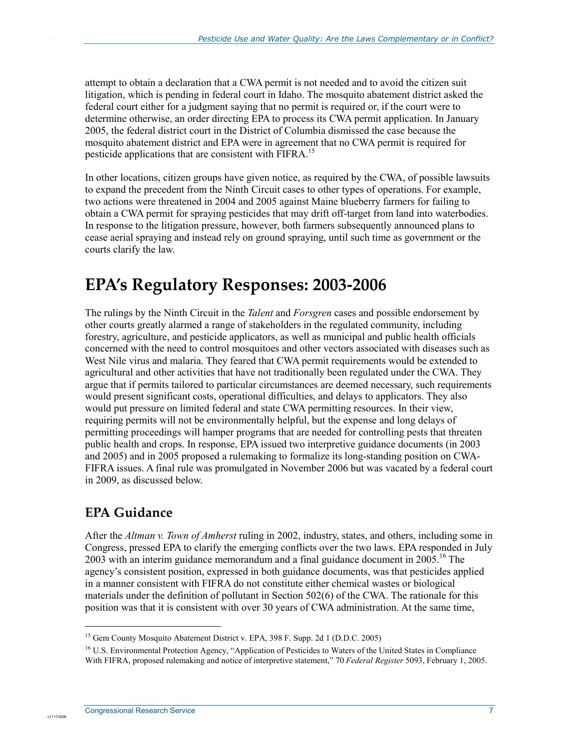attempt to obtain a declaration that a CWA permit is not needed and to avoid the citizen suit litigation, which is pending in federal court in Idaho. The mosquito abatement district asked the federal court either for a judgment saying that no permit is required or, if the court were to determine otherwise, an order directing EPA to process its CWA permit application. In January 2005, the federal district court in the District of Columbia dismissed the case because the mosquito abatement district and EPA were in agreement that no CWA permit is required for pesticide applications that are consistent with FIFRA.<sup>15</sup>

In other locations, citizen groups have given notice, as required by the CWA, of possible lawsuits to expand the precedent from the Ninth Circuit cases to other types of operations. For example, two actions were threatened in 2004 and 2005 against Maine blueberry farmers for failing to obtain a CWA permit for spraying pesticides that may drift off-target from land into waterbodies. In response to the litigation pressure, however, both farmers subsequently announced plans to cease aerial spraying and instead rely on ground spraying, until such time as government or the courts clarify the law.

### **EPA's Regulatory Responses: 2003-2006**

The rulings by the Ninth Circuit in the *Talent* and *Forsgren* cases and possible endorsement by other courts greatly alarmed a range of stakeholders in the regulated community, including forestry, agriculture, and pesticide applicators, as well as municipal and public health officials concerned with the need to control mosquitoes and other vectors associated with diseases such as West Nile virus and malaria. They feared that CWA permit requirements would be extended to agricultural and other activities that have not traditionally been regulated under the CWA. They argue that if permits tailored to particular circumstances are deemed necessary, such requirements would present significant costs, operational difficulties, and delays to applicators. They also would put pressure on limited federal and state CWA permitting resources. In their view, requiring permits will not be environmentally helpful, but the expense and long delays of permitting proceedings will hamper programs that are needed for controlling pests that threaten public health and crops. In response, EPA issued two interpretive guidance documents (in 2003 and 2005) and in 2005 proposed a rulemaking to formalize its long-standing position on CWA-FIFRA issues. A final rule was promulgated in November 2006 but was vacated by a federal court in 2009, as discussed below.

#### **EPA Guidance**

1

c1117300

After the *Altman v. Town of Amherst* ruling in 2002, industry, states, and others, including some in Congress, pressed EPA to clarify the emerging conflicts over the two laws. EPA responded in July 2003 with an interim guidance memorandum and a final guidance document in  $2005$ .<sup>16</sup> The agency's consistent position, expressed in both guidance documents, was that pesticides applied in a manner consistent with FIFRA do not constitute either chemical wastes or biological materials under the definition of pollutant in Section 502(6) of the CWA. The rationale for this position was that it is consistent with over 30 years of CWA administration. At the same time,

<sup>&</sup>lt;sup>15</sup> Gem County Mosquito Abatement District v. EPA, 398 F. Supp. 2d 1 (D.D.C. 2005)

<sup>&</sup>lt;sup>16</sup> U.S. Environmental Protection Agency, "Application of Pesticides to Waters of the United States in Compliance With FIFRA, proposed rulemaking and notice of interpretive statement," 70 *Federal Register* 5093, February 1, 2005.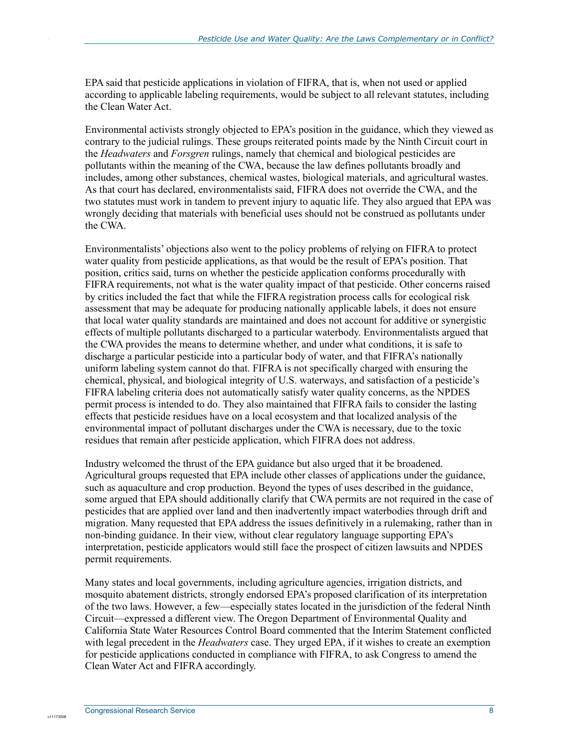EPA said that pesticide applications in violation of FIFRA, that is, when not used or applied according to applicable labeling requirements, would be subject to all relevant statutes, including the Clean Water Act.

Environmental activists strongly objected to EPA's position in the guidance, which they viewed as contrary to the judicial rulings. These groups reiterated points made by the Ninth Circuit court in the *Headwaters* and *Forsgren* rulings, namely that chemical and biological pesticides are pollutants within the meaning of the CWA, because the law defines pollutants broadly and includes, among other substances, chemical wastes, biological materials, and agricultural wastes. As that court has declared, environmentalists said, FIFRA does not override the CWA, and the two statutes must work in tandem to prevent injury to aquatic life. They also argued that EPA was wrongly deciding that materials with beneficial uses should not be construed as pollutants under the CWA.

Environmentalists' objections also went to the policy problems of relying on FIFRA to protect water quality from pesticide applications, as that would be the result of EPA's position. That position, critics said, turns on whether the pesticide application conforms procedurally with FIFRA requirements, not what is the water quality impact of that pesticide. Other concerns raised by critics included the fact that while the FIFRA registration process calls for ecological risk assessment that may be adequate for producing nationally applicable labels, it does not ensure that local water quality standards are maintained and does not account for additive or synergistic effects of multiple pollutants discharged to a particular waterbody. Environmentalists argued that the CWA provides the means to determine whether, and under what conditions, it is safe to discharge a particular pesticide into a particular body of water, and that FIFRA's nationally uniform labeling system cannot do that. FIFRA is not specifically charged with ensuring the chemical, physical, and biological integrity of U.S. waterways, and satisfaction of a pesticide's FIFRA labeling criteria does not automatically satisfy water quality concerns, as the NPDES permit process is intended to do. They also maintained that FIFRA fails to consider the lasting effects that pesticide residues have on a local ecosystem and that localized analysis of the environmental impact of pollutant discharges under the CWA is necessary, due to the toxic residues that remain after pesticide application, which FIFRA does not address.

Industry welcomed the thrust of the EPA guidance but also urged that it be broadened. Agricultural groups requested that EPA include other classes of applications under the guidance, such as aquaculture and crop production. Beyond the types of uses described in the guidance, some argued that EPA should additionally clarify that CWA permits are not required in the case of pesticides that are applied over land and then inadvertently impact waterbodies through drift and migration. Many requested that EPA address the issues definitively in a rulemaking, rather than in non-binding guidance. In their view, without clear regulatory language supporting EPA's interpretation, pesticide applicators would still face the prospect of citizen lawsuits and NPDES permit requirements.

Many states and local governments, including agriculture agencies, irrigation districts, and mosquito abatement districts, strongly endorsed EPA's proposed clarification of its interpretation of the two laws. However, a few—especially states located in the jurisdiction of the federal Ninth Circuit—expressed a different view. The Oregon Department of Environmental Quality and California State Water Resources Control Board commented that the Interim Statement conflicted with legal precedent in the *Headwaters* case. They urged EPA, if it wishes to create an exemption for pesticide applications conducted in compliance with FIFRA, to ask Congress to amend the Clean Water Act and FIFRA accordingly.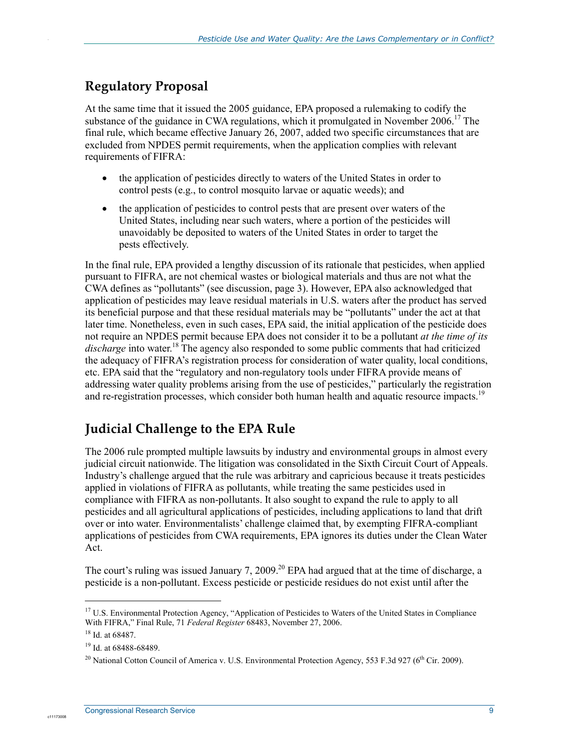#### **Regulatory Proposal**

At the same time that it issued the 2005 guidance, EPA proposed a rulemaking to codify the substance of the guidance in CWA regulations, which it promulgated in November 2006.<sup>17</sup> The final rule, which became effective January 26, 2007, added two specific circumstances that are excluded from NPDES permit requirements, when the application complies with relevant requirements of FIFRA:

- the application of pesticides directly to waters of the United States in order to control pests (e.g., to control mosquito larvae or aquatic weeds); and
- the application of pesticides to control pests that are present over waters of the United States, including near such waters, where a portion of the pesticides will unavoidably be deposited to waters of the United States in order to target the pests effectively.

In the final rule, EPA provided a lengthy discussion of its rationale that pesticides, when applied pursuant to FIFRA, are not chemical wastes or biological materials and thus are not what the CWA defines as "pollutants" (see discussion, page 3). However, EPA also acknowledged that application of pesticides may leave residual materials in U.S. waters after the product has served its beneficial purpose and that these residual materials may be "pollutants" under the act at that later time. Nonetheless, even in such cases, EPA said, the initial application of the pesticide does not require an NPDES permit because EPA does not consider it to be a pollutant *at the time of its*  discharge into water.<sup>18</sup> The agency also responded to some public comments that had criticized the adequacy of FIFRA's registration process for consideration of water quality, local conditions, etc. EPA said that the "regulatory and non-regulatory tools under FIFRA provide means of addressing water quality problems arising from the use of pesticides," particularly the registration and re-registration processes, which consider both human health and aquatic resource impacts.<sup>19</sup>

#### **Judicial Challenge to the EPA Rule**

The 2006 rule prompted multiple lawsuits by industry and environmental groups in almost every judicial circuit nationwide. The litigation was consolidated in the Sixth Circuit Court of Appeals. Industry's challenge argued that the rule was arbitrary and capricious because it treats pesticides applied in violations of FIFRA as pollutants, while treating the same pesticides used in compliance with FIFRA as non-pollutants. It also sought to expand the rule to apply to all pesticides and all agricultural applications of pesticides, including applications to land that drift over or into water. Environmentalists' challenge claimed that, by exempting FIFRA-compliant applications of pesticides from CWA requirements, EPA ignores its duties under the Clean Water Act.

The court's ruling was issued January 7, 2009.<sup>20</sup> EPA had argued that at the time of discharge, a pesticide is a non-pollutant. Excess pesticide or pesticide residues do not exist until after the

1

<sup>&</sup>lt;sup>17</sup> U.S. Environmental Protection Agency, "Application of Pesticides to Waters of the United States in Compliance With FIFRA," Final Rule, 71 *Federal Register* 68483, November 27, 2006.

<sup>18</sup> Id. at 68487.

<sup>19</sup> Id. at 68488-68489.

<sup>&</sup>lt;sup>20</sup> National Cotton Council of America v. U.S. Environmental Protection Agency, 553 F.3d 927 (6<sup>th</sup> Cir. 2009).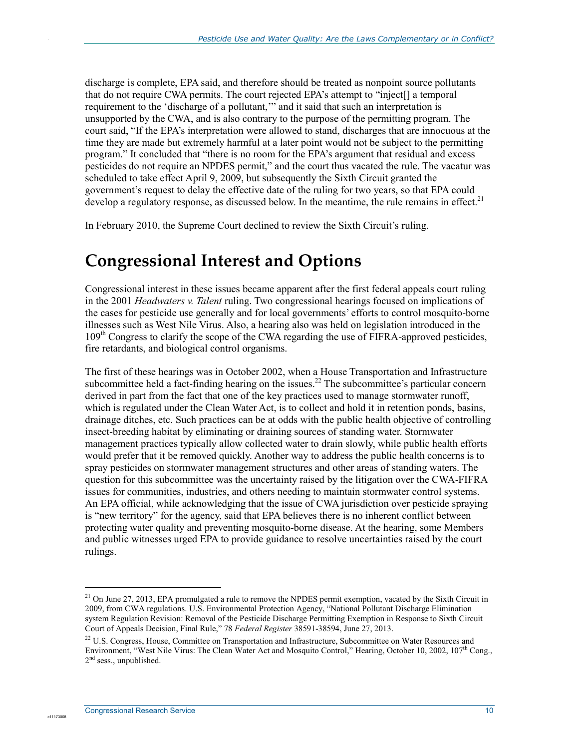discharge is complete, EPA said, and therefore should be treated as nonpoint source pollutants that do not require CWA permits. The court rejected EPA's attempt to "inject[] a temporal requirement to the 'discharge of a pollutant,'" and it said that such an interpretation is unsupported by the CWA, and is also contrary to the purpose of the permitting program. The court said, "If the EPA's interpretation were allowed to stand, discharges that are innocuous at the time they are made but extremely harmful at a later point would not be subject to the permitting program." It concluded that "there is no room for the EPA's argument that residual and excess pesticides do not require an NPDES permit," and the court thus vacated the rule. The vacatur was scheduled to take effect April 9, 2009, but subsequently the Sixth Circuit granted the government's request to delay the effective date of the ruling for two years, so that EPA could develop a regulatory response, as discussed below. In the meantime, the rule remains in effect.<sup>21</sup>

In February 2010, the Supreme Court declined to review the Sixth Circuit's ruling.

### **Congressional Interest and Options**

Congressional interest in these issues became apparent after the first federal appeals court ruling in the 2001 *Headwaters v. Talent* ruling. Two congressional hearings focused on implications of the cases for pesticide use generally and for local governments' efforts to control mosquito-borne illnesses such as West Nile Virus. Also, a hearing also was held on legislation introduced in the 109<sup>th</sup> Congress to clarify the scope of the CWA regarding the use of FIFRA-approved pesticides, fire retardants, and biological control organisms.

The first of these hearings was in October 2002, when a House Transportation and Infrastructure subcommittee held a fact-finding hearing on the issues.<sup>22</sup> The subcommittee's particular concern derived in part from the fact that one of the key practices used to manage stormwater runoff, which is regulated under the Clean Water Act, is to collect and hold it in retention ponds, basins, drainage ditches, etc. Such practices can be at odds with the public health objective of controlling insect-breeding habitat by eliminating or draining sources of standing water. Stormwater management practices typically allow collected water to drain slowly, while public health efforts would prefer that it be removed quickly. Another way to address the public health concerns is to spray pesticides on stormwater management structures and other areas of standing waters. The question for this subcommittee was the uncertainty raised by the litigation over the CWA-FIFRA issues for communities, industries, and others needing to maintain stormwater control systems. An EPA official, while acknowledging that the issue of CWA jurisdiction over pesticide spraying is "new territory" for the agency, said that EPA believes there is no inherent conflict between protecting water quality and preventing mosquito-borne disease. At the hearing, some Members and public witnesses urged EPA to provide guidance to resolve uncertainties raised by the court rulings.

1

 $21$  On June 27, 2013, EPA promulgated a rule to remove the NPDES permit exemption, vacated by the Sixth Circuit in 2009, from CWA regulations. U.S. Environmental Protection Agency, "National Pollutant Discharge Elimination system Regulation Revision: Removal of the Pesticide Discharge Permitting Exemption in Response to Sixth Circuit Court of Appeals Decision, Final Rule," 78 *Federal Register* 38591-38594, June 27, 2013.

<sup>&</sup>lt;sup>22</sup> U.S. Congress, House, Committee on Transportation and Infrastructure, Subcommittee on Water Resources and Environment, "West Nile Virus: The Clean Water Act and Mosquito Control," Hearing, October 10, 2002, 107<sup>th</sup> Cong.,  $2<sup>nd</sup>$  sess., unpublished.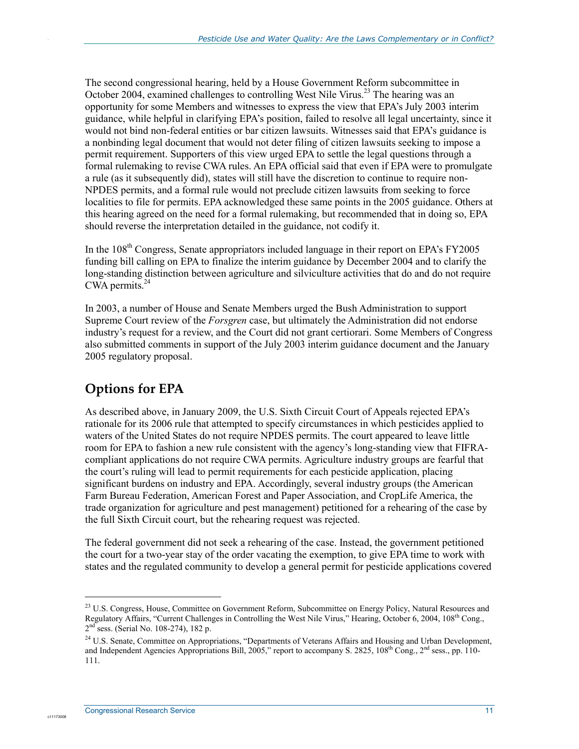The second congressional hearing, held by a House Government Reform subcommittee in October 2004, examined challenges to controlling West Nile Virus.<sup>23</sup> The hearing was an opportunity for some Members and witnesses to express the view that EPA's July 2003 interim guidance, while helpful in clarifying EPA's position, failed to resolve all legal uncertainty, since it would not bind non-federal entities or bar citizen lawsuits. Witnesses said that EPA's guidance is a nonbinding legal document that would not deter filing of citizen lawsuits seeking to impose a permit requirement. Supporters of this view urged EPA to settle the legal questions through a formal rulemaking to revise CWA rules. An EPA official said that even if EPA were to promulgate a rule (as it subsequently did), states will still have the discretion to continue to require non-NPDES permits, and a formal rule would not preclude citizen lawsuits from seeking to force localities to file for permits. EPA acknowledged these same points in the 2005 guidance. Others at this hearing agreed on the need for a formal rulemaking, but recommended that in doing so, EPA should reverse the interpretation detailed in the guidance, not codify it.

In the  $108<sup>th</sup>$  Congress, Senate appropriators included language in their report on EPA's FY2005 funding bill calling on EPA to finalize the interim guidance by December 2004 and to clarify the long-standing distinction between agriculture and silviculture activities that do and do not require CWA permits. $24$ 

In 2003, a number of House and Senate Members urged the Bush Administration to support Supreme Court review of the *Forsgren* case, but ultimately the Administration did not endorse industry's request for a review, and the Court did not grant certiorari. Some Members of Congress also submitted comments in support of the July 2003 interim guidance document and the January 2005 regulatory proposal.

### **Options for EPA**

As described above, in January 2009, the U.S. Sixth Circuit Court of Appeals rejected EPA's rationale for its 2006 rule that attempted to specify circumstances in which pesticides applied to waters of the United States do not require NPDES permits. The court appeared to leave little room for EPA to fashion a new rule consistent with the agency's long-standing view that FIFRAcompliant applications do not require CWA permits. Agriculture industry groups are fearful that the court's ruling will lead to permit requirements for each pesticide application, placing significant burdens on industry and EPA. Accordingly, several industry groups (the American Farm Bureau Federation, American Forest and Paper Association, and CropLife America, the trade organization for agriculture and pest management) petitioned for a rehearing of the case by the full Sixth Circuit court, but the rehearing request was rejected.

The federal government did not seek a rehearing of the case. Instead, the government petitioned the court for a two-year stay of the order vacating the exemption, to give EPA time to work with states and the regulated community to develop a general permit for pesticide applications covered

 $\overline{a}$ 

<sup>&</sup>lt;sup>23</sup> U.S. Congress, House, Committee on Government Reform, Subcommittee on Energy Policy, Natural Resources and Regulatory Affairs, "Current Challenges in Controlling the West Nile Virus," Hearing, October 6, 2004, 108<sup>th</sup> Cong., 2<sup>nd</sup> sess. (Serial No. 108-274), 182 p.

<sup>&</sup>lt;sup>24</sup> U.S. Senate, Committee on Appropriations, "Departments of Veterans Affairs and Housing and Urban Development, and Independent Agencies Appropriations Bill, 2005," report to accompany S. 2825,  $108^{th}$  Cong.,  $2^{nd}$  sess., pp. 110-111.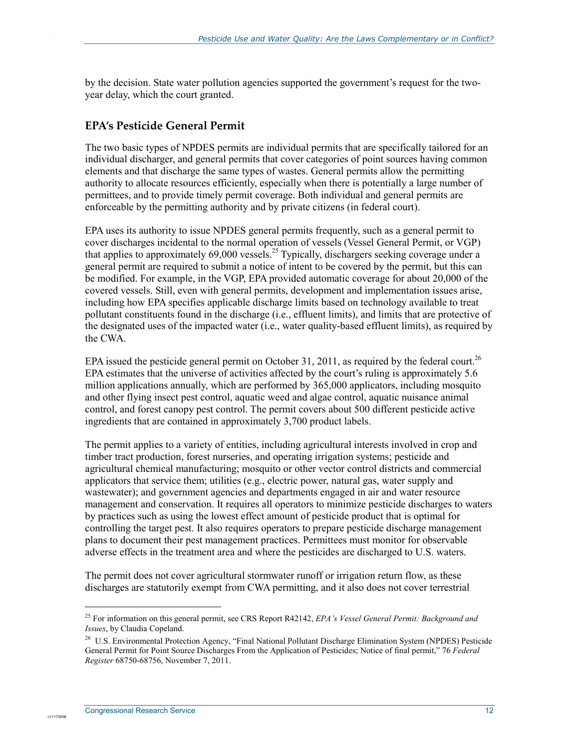by the decision. State water pollution agencies supported the government's request for the twoyear delay, which the court granted.

#### **EPA's Pesticide General Permit**

The two basic types of NPDES permits are individual permits that are specifically tailored for an individual discharger, and general permits that cover categories of point sources having common elements and that discharge the same types of wastes. General permits allow the permitting authority to allocate resources efficiently, especially when there is potentially a large number of permittees, and to provide timely permit coverage. Both individual and general permits are enforceable by the permitting authority and by private citizens (in federal court).

EPA uses its authority to issue NPDES general permits frequently, such as a general permit to cover discharges incidental to the normal operation of vessels (Vessel General Permit, or VGP) that applies to approximately 69,000 vessels.<sup>25</sup> Typically, dischargers seeking coverage under a general permit are required to submit a notice of intent to be covered by the permit, but this can be modified. For example, in the VGP, EPA provided automatic coverage for about 20,000 of the covered vessels. Still, even with general permits, development and implementation issues arise, including how EPA specifies applicable discharge limits based on technology available to treat pollutant constituents found in the discharge (i.e., effluent limits), and limits that are protective of the designated uses of the impacted water (i.e., water quality-based effluent limits), as required by the CWA.

EPA issued the pesticide general permit on October 31, 2011, as required by the federal court.<sup>26</sup> EPA estimates that the universe of activities affected by the court's ruling is approximately 5.6 million applications annually, which are performed by 365,000 applicators, including mosquito and other flying insect pest control, aquatic weed and algae control, aquatic nuisance animal control, and forest canopy pest control. The permit covers about 500 different pesticide active ingredients that are contained in approximately 3,700 product labels.

The permit applies to a variety of entities, including agricultural interests involved in crop and timber tract production, forest nurseries, and operating irrigation systems; pesticide and agricultural chemical manufacturing; mosquito or other vector control districts and commercial applicators that service them; utilities (e.g., electric power, natural gas, water supply and wastewater); and government agencies and departments engaged in air and water resource management and conservation. It requires all operators to minimize pesticide discharges to waters by practices such as using the lowest effect amount of pesticide product that is optimal for controlling the target pest. It also requires operators to prepare pesticide discharge management plans to document their pest management practices. Permittees must monitor for observable adverse effects in the treatment area and where the pesticides are discharged to U.S. waters.

The permit does not cover agricultural stormwater runoff or irrigation return flow, as these discharges are statutorily exempt from CWA permitting, and it also does not cover terrestrial

1

<sup>25</sup> For information on this general permit, see CRS Report R42142, *EPA's Vessel General Permit: Background and Issues*, by Claudia Copeland.

<sup>&</sup>lt;sup>26</sup> U.S. Environmental Protection Agency, "Final National Pollutant Discharge Elimination System (NPDES) Pesticide General Permit for Point Source Discharges From the Application of Pesticides; Notice of final permit," 76 *Federal Register* 68750-68756, November 7, 2011.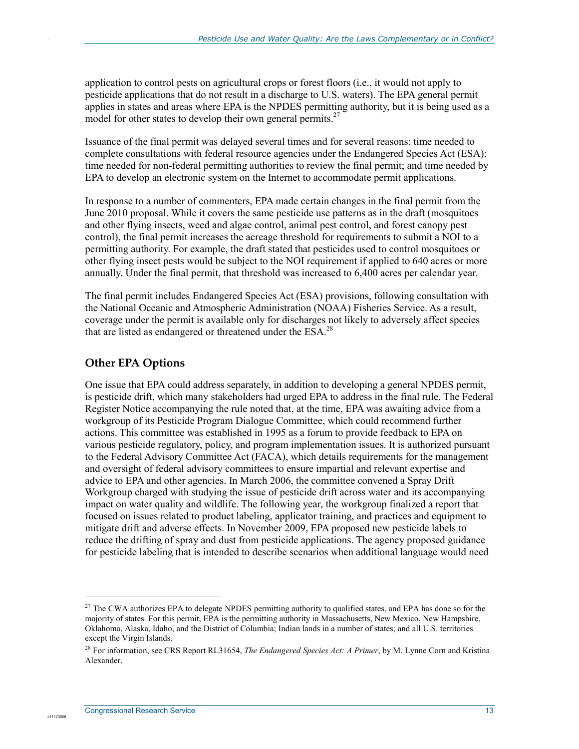application to control pests on agricultural crops or forest floors (i.e., it would not apply to pesticide applications that do not result in a discharge to U.S. waters). The EPA general permit applies in states and areas where EPA is the NPDES permitting authority, but it is being used as a model for other states to develop their own general permits.<sup>27</sup>

Issuance of the final permit was delayed several times and for several reasons: time needed to complete consultations with federal resource agencies under the Endangered Species Act (ESA); time needed for non-federal permitting authorities to review the final permit; and time needed by EPA to develop an electronic system on the Internet to accommodate permit applications.

In response to a number of commenters, EPA made certain changes in the final permit from the June 2010 proposal. While it covers the same pesticide use patterns as in the draft (mosquitoes and other flying insects, weed and algae control, animal pest control, and forest canopy pest control), the final permit increases the acreage threshold for requirements to submit a NOI to a permitting authority. For example, the draft stated that pesticides used to control mosquitoes or other flying insect pests would be subject to the NOI requirement if applied to 640 acres or more annually. Under the final permit, that threshold was increased to 6,400 acres per calendar year.

The final permit includes Endangered Species Act (ESA) provisions, following consultation with the National Oceanic and Atmospheric Administration (NOAA) Fisheries Service. As a result, coverage under the permit is available only for discharges not likely to adversely affect species that are listed as endangered or threatened under the ESA.<sup>28</sup>

#### **Other EPA Options**

One issue that EPA could address separately, in addition to developing a general NPDES permit, is pesticide drift, which many stakeholders had urged EPA to address in the final rule. The Federal Register Notice accompanying the rule noted that, at the time, EPA was awaiting advice from a workgroup of its Pesticide Program Dialogue Committee, which could recommend further actions. This committee was established in 1995 as a forum to provide feedback to EPA on various pesticide regulatory, policy, and program implementation issues. It is authorized pursuant to the Federal Advisory Committee Act (FACA), which details requirements for the management and oversight of federal advisory committees to ensure impartial and relevant expertise and advice to EPA and other agencies. In March 2006, the committee convened a Spray Drift Workgroup charged with studying the issue of pesticide drift across water and its accompanying impact on water quality and wildlife. The following year, the workgroup finalized a report that focused on issues related to product labeling, applicator training, and practices and equipment to mitigate drift and adverse effects. In November 2009, EPA proposed new pesticide labels to reduce the drifting of spray and dust from pesticide applications. The agency proposed guidance for pesticide labeling that is intended to describe scenarios when additional language would need

 $\overline{a}$ 

<sup>&</sup>lt;sup>27</sup> The CWA authorizes EPA to delegate NPDES permitting authority to qualified states, and EPA has done so for the majority of states. For this permit, EPA is the permitting authority in Massachusetts, New Mexico, New Hampshire, Oklahoma, Alaska, Idaho, and the District of Columbia; Indian lands in a number of states; and all U.S. territories except the Virgin Islands.

<sup>28</sup> For information, see CRS Report RL31654, *The Endangered Species Act: A Primer*, by M. Lynne Corn and Kristina Alexander.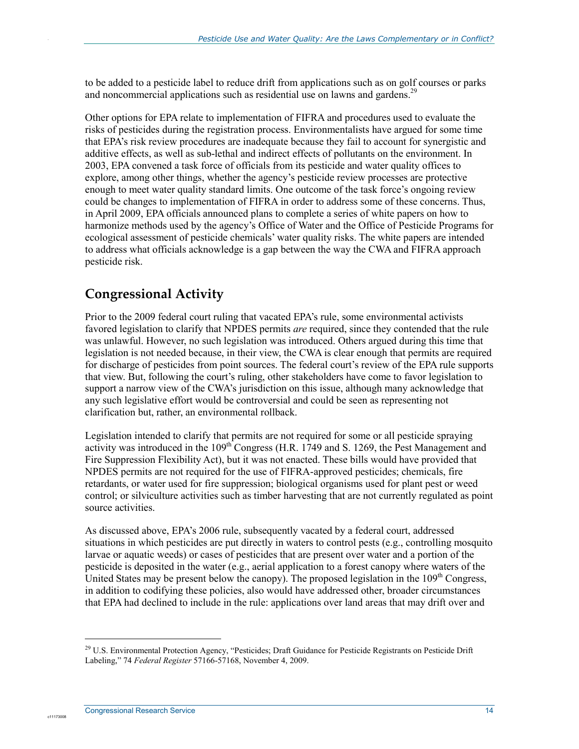to be added to a pesticide label to reduce drift from applications such as on golf courses or parks and noncommercial applications such as residential use on lawns and gardens.<sup>29</sup>

Other options for EPA relate to implementation of FIFRA and procedures used to evaluate the risks of pesticides during the registration process. Environmentalists have argued for some time that EPA's risk review procedures are inadequate because they fail to account for synergistic and additive effects, as well as sub-lethal and indirect effects of pollutants on the environment. In 2003, EPA convened a task force of officials from its pesticide and water quality offices to explore, among other things, whether the agency's pesticide review processes are protective enough to meet water quality standard limits. One outcome of the task force's ongoing review could be changes to implementation of FIFRA in order to address some of these concerns. Thus, in April 2009, EPA officials announced plans to complete a series of white papers on how to harmonize methods used by the agency's Office of Water and the Office of Pesticide Programs for ecological assessment of pesticide chemicals' water quality risks. The white papers are intended to address what officials acknowledge is a gap between the way the CWA and FIFRA approach pesticide risk.

#### **Congressional Activity**

Prior to the 2009 federal court ruling that vacated EPA's rule, some environmental activists favored legislation to clarify that NPDES permits *are* required, since they contended that the rule was unlawful. However, no such legislation was introduced. Others argued during this time that legislation is not needed because, in their view, the CWA is clear enough that permits are required for discharge of pesticides from point sources. The federal court's review of the EPA rule supports that view. But, following the court's ruling, other stakeholders have come to favor legislation to support a narrow view of the CWA's jurisdiction on this issue, although many acknowledge that any such legislative effort would be controversial and could be seen as representing not clarification but, rather, an environmental rollback.

Legislation intended to clarify that permits are not required for some or all pesticide spraying activity was introduced in the  $109<sup>th</sup>$  Congress (H.R. 1749 and S. 1269, the Pest Management and Fire Suppression Flexibility Act), but it was not enacted. These bills would have provided that NPDES permits are not required for the use of FIFRA-approved pesticides; chemicals, fire retardants, or water used for fire suppression; biological organisms used for plant pest or weed control; or silviculture activities such as timber harvesting that are not currently regulated as point source activities.

As discussed above, EPA's 2006 rule, subsequently vacated by a federal court, addressed situations in which pesticides are put directly in waters to control pests (e.g., controlling mosquito larvae or aquatic weeds) or cases of pesticides that are present over water and a portion of the pesticide is deposited in the water (e.g., aerial application to a forest canopy where waters of the United States may be present below the canopy). The proposed legislation in the  $109<sup>th</sup>$  Congress, in addition to codifying these policies, also would have addressed other, broader circumstances that EPA had declined to include in the rule: applications over land areas that may drift over and

1

<sup>&</sup>lt;sup>29</sup> U.S. Environmental Protection Agency, "Pesticides; Draft Guidance for Pesticide Registrants on Pesticide Drift Labeling," 74 *Federal Register* 57166-57168, November 4, 2009.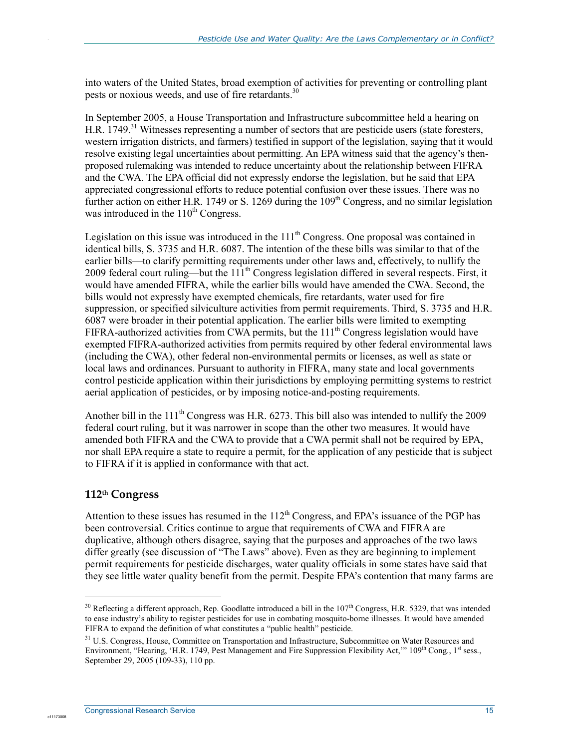into waters of the United States, broad exemption of activities for preventing or controlling plant pests or noxious weeds, and use of fire retardants.<sup>30</sup>

In September 2005, a House Transportation and Infrastructure subcommittee held a hearing on H.R. 1749.<sup>31</sup> Witnesses representing a number of sectors that are pesticide users (state foresters, western irrigation districts, and farmers) testified in support of the legislation, saying that it would resolve existing legal uncertainties about permitting. An EPA witness said that the agency's thenproposed rulemaking was intended to reduce uncertainty about the relationship between FIFRA and the CWA. The EPA official did not expressly endorse the legislation, but he said that EPA appreciated congressional efforts to reduce potential confusion over these issues. There was no further action on either H.R. 1749 or S. 1269 during the 109<sup>th</sup> Congress, and no similar legislation was introduced in the  $110<sup>th</sup>$  Congress.

Legislation on this issue was introduced in the  $111<sup>th</sup>$  Congress. One proposal was contained in identical bills, S. 3735 and H.R. 6087. The intention of the these bills was similar to that of the earlier bills—to clarify permitting requirements under other laws and, effectively, to nullify the 2009 federal court ruling—but the  $111<sup>th</sup>$  Congress legislation differed in several respects. First, it would have amended FIFRA, while the earlier bills would have amended the CWA. Second, the bills would not expressly have exempted chemicals, fire retardants, water used for fire suppression, or specified silviculture activities from permit requirements. Third, S. 3735 and H.R. 6087 were broader in their potential application. The earlier bills were limited to exempting FIFRA-authorized activities from CWA permits, but the  $111<sup>th</sup>$  Congress legislation would have exempted FIFRA-authorized activities from permits required by other federal environmental laws (including the CWA), other federal non-environmental permits or licenses, as well as state or local laws and ordinances. Pursuant to authority in FIFRA, many state and local governments control pesticide application within their jurisdictions by employing permitting systems to restrict aerial application of pesticides, or by imposing notice-and-posting requirements.

Another bill in the  $111^{th}$  Congress was H.R. 6273. This bill also was intended to nullify the 2009 federal court ruling, but it was narrower in scope than the other two measures. It would have amended both FIFRA and the CWA to provide that a CWA permit shall not be required by EPA, nor shall EPA require a state to require a permit, for the application of any pesticide that is subject to FIFRA if it is applied in conformance with that act.

#### **112th Congress**

 $\overline{a}$ 

c1117300

Attention to these issues has resumed in the  $112<sup>th</sup>$  Congress, and EPA's issuance of the PGP has been controversial. Critics continue to argue that requirements of CWA and FIFRA are duplicative, although others disagree, saying that the purposes and approaches of the two laws differ greatly (see discussion of "The Laws" above). Even as they are beginning to implement permit requirements for pesticide discharges, water quality officials in some states have said that they see little water quality benefit from the permit. Despite EPA's contention that many farms are

<sup>&</sup>lt;sup>30</sup> Reflecting a different approach, Rep. Goodlatte introduced a bill in the 107<sup>th</sup> Congress, H.R. 5329, that was intended to ease industry's ability to register pesticides for use in combating mosquito-borne illnesses. It would have amended FIFRA to expand the definition of what constitutes a "public health" pesticide.

<sup>&</sup>lt;sup>31</sup> U.S. Congress, House, Committee on Transportation and Infrastructure, Subcommittee on Water Resources and Environment, "Hearing, 'H.R. 1749, Pest Management and Fire Suppression Flexibility Act," 109<sup>th</sup> Cong., 1<sup>st</sup> sess., September 29, 2005 (109-33), 110 pp.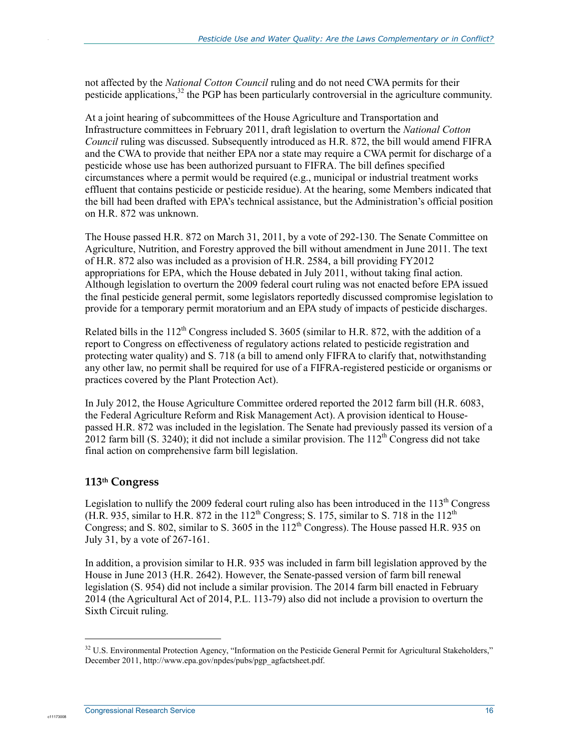not affected by the *National Cotton Council* ruling and do not need CWA permits for their pesticide applications,<sup>32</sup> the PGP has been particularly controversial in the agriculture community.

At a joint hearing of subcommittees of the House Agriculture and Transportation and Infrastructure committees in February 2011, draft legislation to overturn the *National Cotton Council* ruling was discussed. Subsequently introduced as H.R. 872, the bill would amend FIFRA and the CWA to provide that neither EPA nor a state may require a CWA permit for discharge of a pesticide whose use has been authorized pursuant to FIFRA. The bill defines specified circumstances where a permit would be required (e.g., municipal or industrial treatment works effluent that contains pesticide or pesticide residue). At the hearing, some Members indicated that the bill had been drafted with EPA's technical assistance, but the Administration's official position on H.R. 872 was unknown.

The House passed H.R. 872 on March 31, 2011, by a vote of 292-130. The Senate Committee on Agriculture, Nutrition, and Forestry approved the bill without amendment in June 2011. The text of H.R. 872 also was included as a provision of H.R. 2584, a bill providing FY2012 appropriations for EPA, which the House debated in July 2011, without taking final action. Although legislation to overturn the 2009 federal court ruling was not enacted before EPA issued the final pesticide general permit, some legislators reportedly discussed compromise legislation to provide for a temporary permit moratorium and an EPA study of impacts of pesticide discharges.

Related bills in the 112<sup>th</sup> Congress included S. 3605 (similar to H.R. 872, with the addition of a report to Congress on effectiveness of regulatory actions related to pesticide registration and protecting water quality) and S. 718 (a bill to amend only FIFRA to clarify that, notwithstanding any other law, no permit shall be required for use of a FIFRA-registered pesticide or organisms or practices covered by the Plant Protection Act).

In July 2012, the House Agriculture Committee ordered reported the 2012 farm bill (H.R. 6083, the Federal Agriculture Reform and Risk Management Act). A provision identical to Housepassed H.R. 872 was included in the legislation. The Senate had previously passed its version of a 2012 farm bill (S. 3240); it did not include a similar provision. The  $112^{th}$  Congress did not take final action on comprehensive farm bill legislation.

#### **113th Congress**

1

c1117300

Legislation to nullify the 2009 federal court ruling also has been introduced in the 113<sup>th</sup> Congress (H.R. 935, similar to H.R. 872 in the  $112^{th}$  Congress; S. 175, similar to S. 718 in the  $112^{th}$ Congress; and S. 802, similar to S. 3605 in the  $112<sup>th</sup>$  Congress). The House passed H.R. 935 on July 31, by a vote of 267-161.

In addition, a provision similar to H.R. 935 was included in farm bill legislation approved by the House in June 2013 (H.R. 2642). However, the Senate-passed version of farm bill renewal legislation (S. 954) did not include a similar provision. The 2014 farm bill enacted in February 2014 (the Agricultural Act of 2014, P.L. 113-79) also did not include a provision to overturn the Sixth Circuit ruling.

<sup>&</sup>lt;sup>32</sup> U.S. Environmental Protection Agency, "Information on the Pesticide General Permit for Agricultural Stakeholders," December 2011, http://www.epa.gov/npdes/pubs/pgp\_agfactsheet.pdf.